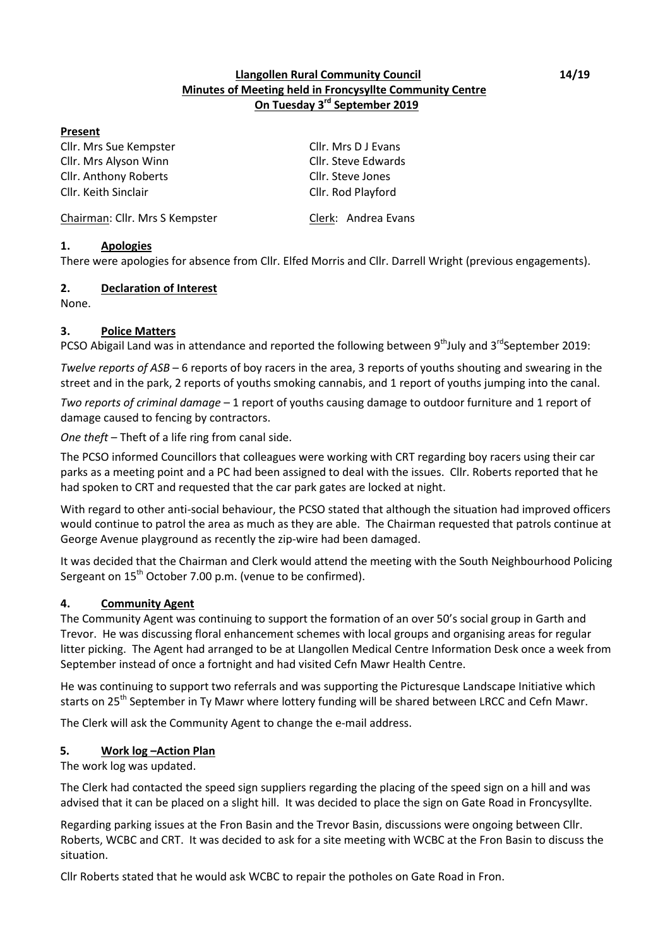#### **Llangollen Rural Community Council 14/19 Minutes of Meeting held in Froncysyllte Community Centre On Tuesday 3rd September 2019**

#### **Present**

Cllr. Mrs Sue Kempster Cllr. Mrs D J Evans Cllr. Mrs Alyson Winn Cllr. Steve Edwards Cllr. Anthony Roberts Cllr. Steve Jones Cllr. Keith Sinclair Cllr. Rod Playford

Chairman: Cllr. Mrs S Kempster Clerk: Andrea Evans

## **1. Apologies**

There were apologies for absence from Cllr. Elfed Morris and Cllr. Darrell Wright (previous engagements).

#### **2. Declaration of Interest**

None.

#### **3. Police Matters**

PCSO Abigail Land was in attendance and reported the following between 9<sup>th</sup>July and 3<sup>rd</sup>September 2019:

*Twelve reports of ASB* – 6 reports of boy racers in the area, 3 reports of youths shouting and swearing in the street and in the park, 2 reports of youths smoking cannabis, and 1 report of youths jumping into the canal.

*Two reports of criminal damage* – 1 report of youths causing damage to outdoor furniture and 1 report of damage caused to fencing by contractors.

One theft - Theft of a life ring from canal side.

The PCSO informed Councillors that colleagues were working with CRT regarding boy racers using their car parks as a meeting point and a PC had been assigned to deal with the issues. Cllr. Roberts reported that he had spoken to CRT and requested that the car park gates are locked at night.

With regard to other anti-social behaviour, the PCSO stated that although the situation had improved officers would continue to patrol the area as much as they are able. The Chairman requested that patrols continue at George Avenue playground as recently the zip-wire had been damaged.

It was decided that the Chairman and Clerk would attend the meeting with the South Neighbourhood Policing Sergeant on  $15<sup>th</sup>$  October 7.00 p.m. (venue to be confirmed).

## **4. Community Agent**

The Community Agent was continuing to support the formation of an over 50's social group in Garth and Trevor. He was discussing floral enhancement schemes with local groups and organising areas for regular litter picking. The Agent had arranged to be at Llangollen Medical Centre Information Desk once a week from September instead of once a fortnight and had visited Cefn Mawr Health Centre.

He was continuing to support two referrals and was supporting the Picturesque Landscape Initiative which starts on 25<sup>th</sup> September in Ty Mawr where lottery funding will be shared between LRCC and Cefn Mawr.

The Clerk will ask the Community Agent to change the e-mail address.

#### **5. Work log –Action Plan**

The work log was updated.

The Clerk had contacted the speed sign suppliers regarding the placing of the speed sign on a hill and was advised that it can be placed on a slight hill. It was decided to place the sign on Gate Road in Froncysyllte.

Regarding parking issues at the Fron Basin and the Trevor Basin, discussions were ongoing between Cllr. Roberts, WCBC and CRT. It was decided to ask for a site meeting with WCBC at the Fron Basin to discuss the situation.

Cllr Roberts stated that he would ask WCBC to repair the potholes on Gate Road in Fron.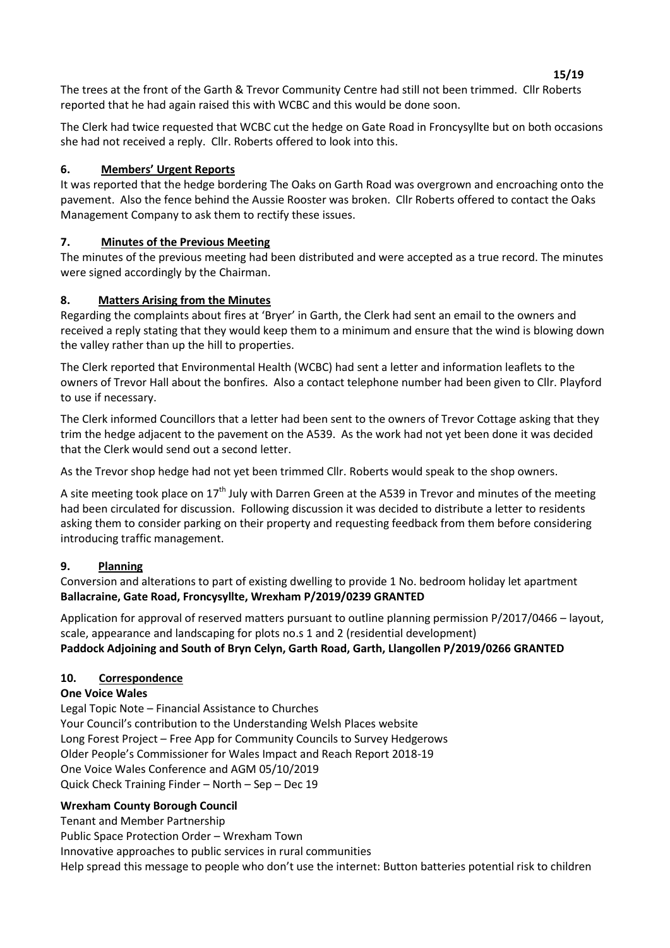**15/19** The trees at the front of the Garth & Trevor Community Centre had still not been trimmed. Cllr Roberts reported that he had again raised this with WCBC and this would be done soon.

The Clerk had twice requested that WCBC cut the hedge on Gate Road in Froncysyllte but on both occasions she had not received a reply. Cllr. Roberts offered to look into this.

## **6. Members' Urgent Reports**

It was reported that the hedge bordering The Oaks on Garth Road was overgrown and encroaching onto the pavement. Also the fence behind the Aussie Rooster was broken. Cllr Roberts offered to contact the Oaks Management Company to ask them to rectify these issues.

# **7. Minutes of the Previous Meeting**

The minutes of the previous meeting had been distributed and were accepted as a true record. The minutes were signed accordingly by the Chairman.

# **8. Matters Arising from the Minutes**

Regarding the complaints about fires at 'Bryer' in Garth, the Clerk had sent an email to the owners and received a reply stating that they would keep them to a minimum and ensure that the wind is blowing down the valley rather than up the hill to properties.

The Clerk reported that Environmental Health (WCBC) had sent a letter and information leaflets to the owners of Trevor Hall about the bonfires. Also a contact telephone number had been given to Cllr. Playford to use if necessary.

The Clerk informed Councillors that a letter had been sent to the owners of Trevor Cottage asking that they trim the hedge adjacent to the pavement on the A539. As the work had not yet been done it was decided that the Clerk would send out a second letter.

As the Trevor shop hedge had not yet been trimmed Cllr. Roberts would speak to the shop owners.

A site meeting took place on 17<sup>th</sup> July with Darren Green at the A539 in Trevor and minutes of the meeting had been circulated for discussion. Following discussion it was decided to distribute a letter to residents asking them to consider parking on their property and requesting feedback from them before considering introducing traffic management.

# **9. Planning**

Conversion and alterations to part of existing dwelling to provide 1 No. bedroom holiday let apartment **Ballacraine, Gate Road, Froncysyllte, Wrexham P/2019/0239 GRANTED**

Application for approval of reserved matters pursuant to outline planning permission  $P/2017/0466 -$  layout, scale, appearance and landscaping for plots no.s 1 and 2 (residential development) **Paddock Adjoining and South of Bryn Celyn, Garth Road, Garth, Llangollen P/2019/0266 GRANTED**

# **10. Correspondence**

## **One Voice Wales**

Legal Topic Note - Financial Assistance to Churches Your Council's contribution to the Understanding Welsh Places website Long Forest Project - Free App for Community Councils to Survey Hedgerows Older People's Commissioner for Wales Impact and Reach Report 2018-19 One Voice Wales Conference and AGM 05/10/2019 Quick Check Training Finder  $-$  North  $-$  Sep  $-$  Dec 19

## **Wrexham County Borough Council**

Tenant and Member Partnership

Public Space Protection Order - Wrexham Town

Innovative approaches to public services in rural communities

Help spread this message to people who don't use the internet: Button batteries potential risk to children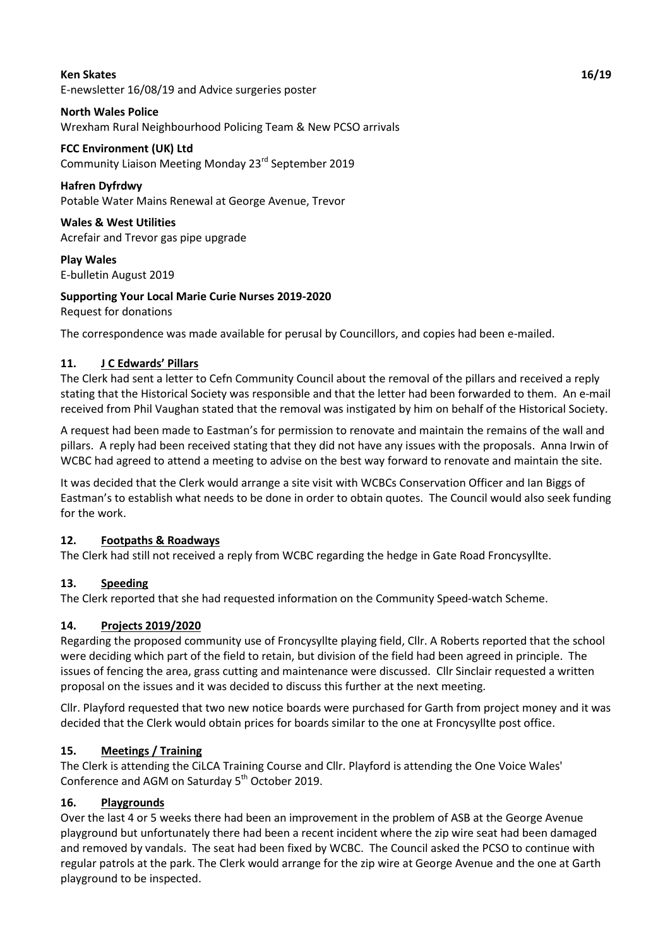#### **Ken Skates 16/19** E-newsletter 16/08/19 and Advice surgeries poster

# **North Wales Police**

Wrexham Rural Neighbourhood Policing Team & New PCSO arrivals

# **FCC Environment (UK) Ltd**

Community Liaison Meeting Monday 23<sup>rd</sup> September 2019

## **Hafren Dyfrdwy**

Potable Water Mains Renewal at George Avenue, Trevor

**Wales & West Utilities** Acrefair and Trevor gas pipe upgrade

**Play Wales** E-bulletin August 2019

# **Supporting Your Local Marie Curie Nurses 2019-2020**

Request for donations

The correspondence was made available for perusal by Councillors, and copies had been e-mailed.

# **11. J C Edwards' Pillars**

The Clerk had sent a letter to Cefn Community Council about the removal of the pillars and received a reply stating that the Historical Society was responsible and that the letter had been forwarded to them. An e-mail received from Phil Vaughan stated that the removal was instigated by him on behalf of the Historical Society.

A request had been made to Eastman's for permission to renovate and maintain the remains of the wall and pillars. A reply had been received stating that they did not have any issues with the proposals. Anna Irwin of WCBC had agreed to attend a meeting to advise on the best way forward to renovate and maintain the site.

It was decided that the Clerk would arrange a site visit with WCBCs Conservation Officer and Ian Biggs of Eastman's to establish what needs to be done in order to obtain quotes. The Council would also seek funding for the work.

## **12. Footpaths & Roadways**

The Clerk had still not received a reply from WCBC regarding the hedge in Gate Road Froncysyllte.

## **13. Speeding**

The Clerk reported that she had requested information on the Community Speed-watch Scheme.

## **14. Projects 2019/2020**

Regarding the proposed community use of Froncysyllte playing field, Cllr. A Roberts reported that the school were deciding which part of the field to retain, but division of the field had been agreed in principle. The issues of fencing the area, grass cutting and maintenance were discussed. Cllr Sinclair requested a written proposal on the issues and it was decided to discuss this further at the next meeting.

Cllr. Playford requested that two new notice boards were purchased for Garth from project money and it was decided that the Clerk would obtain prices for boards similar to the one at Froncysyllte post office.

# **15. Meetings / Training**

The Clerk is attending the CiLCA Training Course and Cllr. Playford is attending the One Voice Wales' Conference and AGM on Saturday 5<sup>th</sup> October 2019.

## **16. Playgrounds**

Over the last 4 or 5 weeks there had been an improvement in the problem of ASB at the George Avenue playground but unfortunately there had been a recent incident where the zip wire seat had been damaged and removed by vandals. The seat had been fixed by WCBC. The Council asked the PCSO to continue with regular patrols at the park. The Clerk would arrange for the zip wire at George Avenue and the one at Garth playground to be inspected.